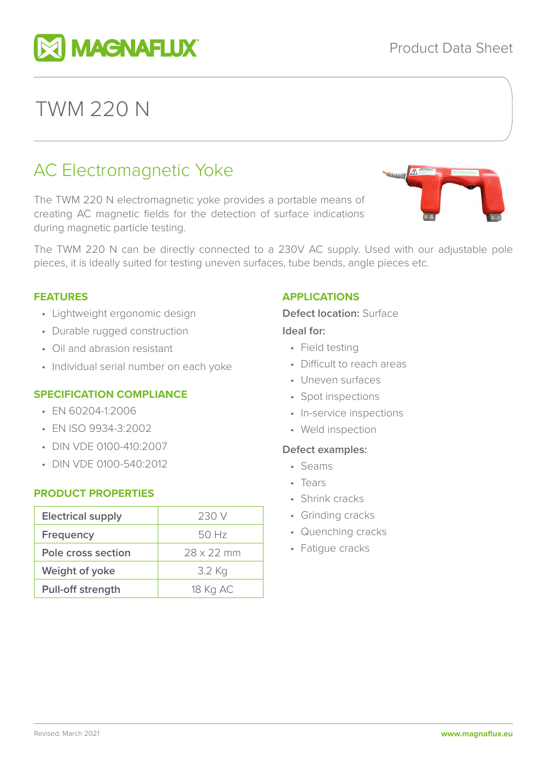

# AC Electromagnetic Yoke

The TWM 220 N electromagnetic yoke provides a portable means of creating AC magnetic fields for the detection of surface indications during magnetic particle testing.

The TWM 220 N can be directly connected to a 230V AC supply. Used with our adjustable pole pieces, it is ideally suited for testing uneven surfaces, tube bends, angle pieces etc.

#### **FEATURES**

- Lightweight ergonomic design
- Durable rugged construction
- Oil and abrasion resistant
- Individual serial number on each yoke

#### **SPECIFICATION COMPLIANCE**

- EN 60204-1:2006
- EN ISO 9934-3:2002
- DIN VDE 0100-410:2007
- DIN VDE 0100-540:2012

#### **PRODUCT PROPERTIES**

| <b>Electrical supply</b> | 230 V             |
|--------------------------|-------------------|
| <b>Frequency</b>         | 50 Hz             |
| Pole cross section       | $28 \times 22$ mm |
| Weight of yoke           | 3.2 Kg            |
| <b>Pull-off strength</b> | 18 Kg AC          |

#### **APPLICATIONS**

#### **Defect location:** Surface

#### **Ideal for:**

- Field testing
- Difficult to reach areas
- Uneven surfaces
- Spot inspections
- In-service inspections
- Weld inspection

#### **Defect examples:**

- Seams
- Tears
- Shrink cracks
- Grinding cracks
- Quenching cracks
- Fatigue cracks





TWM 220 N